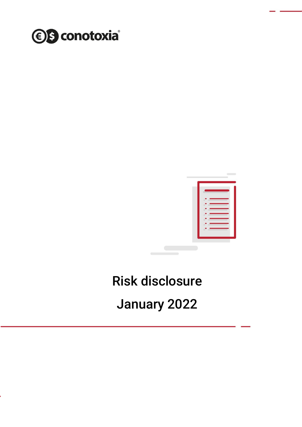



# Risk disclosure

January 2022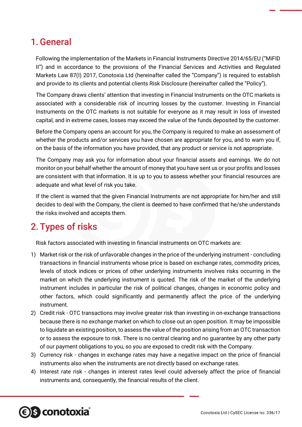## 1.General

Following the implementation of the Markets in Financial Instruments Directive 2014/65/EU ("MiFID II") and in accordance to the provisions of the Financial Services and Activities and Regulated Markets Law 87(I) 2017, Conotoxia Ltd (hereinafter called the "Company") is required to establish and provide to its clients and potential clients Risk Disclosure (hereinafter called the "Policy").

The Company draws clients' attention that investing in Financial Instruments on the OTC markets is associated with a considerable risk of incurring losses by the customer. Investing in Financial Instruments on the OTC markets is not suitable for everyone as it may result in loss of invested capital, and in extreme cases, losses may exceed the value of the funds deposited by the customer.

Before the Company opens an account for you, the Company is required to make an assessment of whether the products and/or services you have chosen are appropriate for you, and to warn you if, on the basis of the information you have provided, that any product or service is not appropriate.

The Company may ask you for information about your financial assets and earnings. We do not monitor on your behalf whether the amount of money that you have sent us or your profits and losses are consistent with that information. It is up to you to assess whether your financial resources are adequate and what level of risk you take.

If the client is warned that the given Financial Instruments are not appropriate for him/her and still decides to deal with the Company, the client is deemed to have confirmed that he/she understands the risks involved and accepts them.

# 2. Types of risks

Risk factors associated with investing in financial instruments on OTC markets are:

- 1) Market risk or the risk of unfavorable changes in the price of the underlying instrument concluding transactions in financial instruments whose price is based on exchange rates, commodity prices, levels of stock indices or prices of other underlying instruments involves risks occurring in the market on which the underlying instrument is quoted. The risk of the market of the underlying instrument includes in particular the risk of political changes, changes in economic policy and other factors, which could significantly and permanently affect the price of the underlying instrument.
- 2) Credit risk OTC transactions may involve greater risk than investing in on-exchange transactions because there is no exchange market on which to close out an open position. It may be impossible to liquidate an existing position, to assess the value of the position arising from an OTC transaction or to assess the exposure to risk. There is no central clearing and no guarantee by any other party of our payment obligations to you, so you are exposed to credit risk with the Company.
- 3) Currency risk changes in exchange rates may have a negative impact on the price of financial instruments also when the instruments are not directly based on exchange rates.
- 4) Interest rate risk changes in interest rates level could adversely affect the price of financial instruments and, consequently, the financial results of the client.

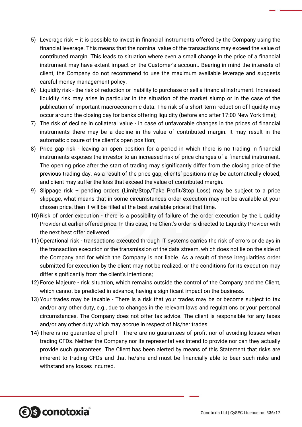- 5) Leverage risk it is possible to invest in financial instruments offered by the Company using the financial leverage. This means that the nominal value of the transactions may exceed the value of contributed margin. This leads to situation where even a small change in the price of a financial instrument may have extent impact on the Customer's account. Bearing in mind the interests of client, the Company do not recommend to use the maximum available leverage and suggests careful money management policy.
- 6) Liquidity risk the risk of reduction or inability to purchase or sell a financial instrument. Increased liquidity risk may arise in particular in the situation of the market slump or in the case of the publication of important macroeconomic data. The risk of a short-term reduction of liquidity may occur around the closing day for banks offering liquidity (before and after 17:00 New York time);
- 7) The risk of decline in collateral value in case of unfavorable changes in the prices of financial instruments there may be a decline in the value of contributed margin. It may result in the automatic closure of the client's open position;
- 8) Price gap risk leaving an open position for a period in which there is no trading in financial instruments exposes the investor to an increased risk of price changes of a financial instrument. The opening price after the start of trading may significantly differ from the closing price of the previous trading day. As a result of the price gap, clients' positions may be automatically closed, and client may suffer the loss that exceed the value of contributed margin.
- 9) Slippage risk pending orders (Limit/Stop/Take Profit/Stop Loss) may be subject to a price slippage, what means that in some circumstances order execution may not be available at your chosen price, then it will be filled at the best available price at that time.
- 10)Risk of order execution there is a possibility of failure of the order execution by the Liquidity Provider at earlier offered price. In this case, the Client's order is directed to Liquidity Provider with the next best offer delivered.
- 11)Operational risk transactions executed through IT systems carries the risk of errors or delays in the transaction execution or the transmission of the data stream, which does not lie on the side of the Company and for which the Company is not liable. As a result of these irregularities order submitted for execution by the client may not be realized, or the conditions for its execution may differ significantly from the client's intentions;
- 12) Force Majeure risk situation, which remains outside the control of the Company and the Client, which cannot be predicted in advance, having a significant impact on the business.
- 13) Your trades may be taxable There is a risk that your trades may be or become subject to tax and/or any other duty, e.g., due to changes in the relevant laws and regulations or your personal circumstances. The Company does not offer tax advice. The client is responsible for any taxes and/or any other duty which may accrue in respect of his/her trades.
- 14) There is no guarantee of profit There are no guarantees of profit nor of avoiding losses when trading CFDs. Neither the Company nor its representatives intend to provide nor can they actually provide such guarantees. The Client has been alerted by means of this Statement that risks are inherent to trading CFDs and that he/she and must be financially able to bear such risks and withstand any losses incurred.

*<b>€S* conotoxia®